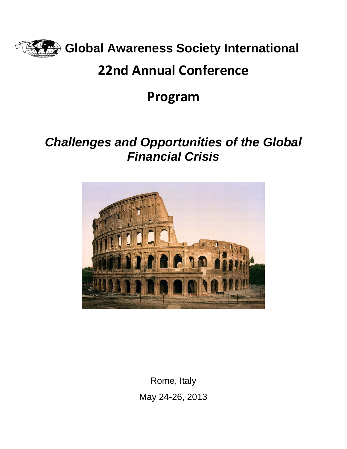

**Global Awareness Society International**

# **22nd Annual Conference**

# **Program**

# *Challenges and Opportunities of the Global Financial Crisis*



Rome, Italy May 24-26, 2013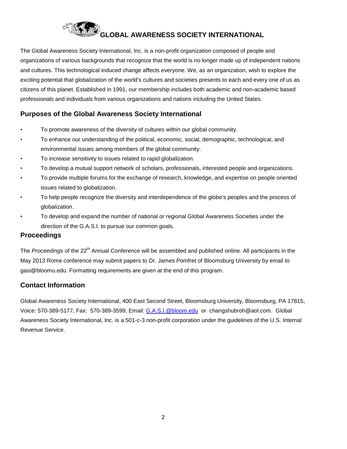

The Global Awareness Society International, Inc. is a non-profit organization composed of people and organizations of various backgrounds that recognize that the world is no longer made up of independent nations and cultures. This technological induced change affects everyone. We, as an organization, wish to explore the exciting potential that globalization of the world's cultures and societies presents to each and every one of us as citizens of this planet. Established in 1991, our membership includes both academic and non-academic based professionals and individuals from various organizations and nations including the United States.

## **Purposes of the Global Awareness Society International**

- To promote awareness of the diversity of cultures within our global community.
- To enhance our understanding of the political, economic, social, demographic, technological, and environmental issues among members of the global community.
- To increase sensitivity to issues related to rapid globalization.
- To develop a mutual support network of scholars, professionals, interested people and organizations.
- To provide multiple forums for the exchange of research, knowledge, and expertise on people oriented issues related to globalization.
- To help people recognize the diversity and interdependence of the globe's peoples and the process of globalization.
- To develop and expand the number of national or regional Global Awareness Societies under the direction of the G.A.S.I. to pursue our common goals.

## **Proceedings**

The *Proceedings* of the 22<sup>th</sup> Annual Conference will be assembled and published online. All participants in the May 2013 Rome conference may submit papers to Dr. James Pomfret of Bloomsburg University by email to gasi@bloomu.edu. Formatting requirements are given at the end of this program.

## **Contact Information**

Global Awareness Society International, 400 East Second Street, Bloomsburg University, Bloomsburg, PA 17815, Voice: 570-389-5177, Fax: 570-389-3599, Email: [G.A.S.I.@bloom.edu](mailto:GASI@bloom.edu) or changshubroh@aol.com. Global Awareness Society International, Inc. is a 501-c-3 non-profit corporation under the guidelines of the U.S. Internal Revenue Service.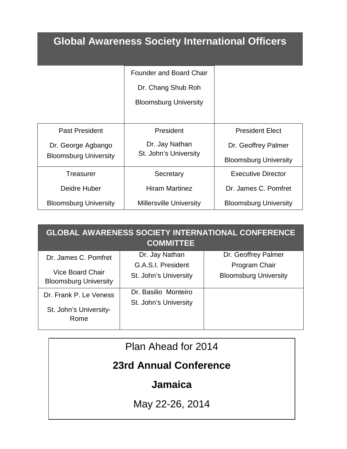# **Global Awareness Society International Officers**

| <b>Founder and Board Chair</b> |  |
|--------------------------------|--|
|--------------------------------|--|

Dr. Chang Shub Roh

Bloomsburg University

| <b>Past President</b>        | President                      | <b>President Elect</b>       |
|------------------------------|--------------------------------|------------------------------|
| Dr. George Agbango           | Dr. Jay Nathan                 | Dr. Geoffrey Palmer          |
| <b>Bloomsburg University</b> | St. John's University          | <b>Bloomsburg University</b> |
| Treasurer                    | Secretary                      | <b>Executive Director</b>    |
| Deidre Huber                 | <b>Hiram Martinez</b>          | Dr. James C. Pomfret         |
| <b>Bloomsburg University</b> | <b>Millersville University</b> | <b>Bloomsburg University</b> |

| <b>GLOBAL AWARENESS SOCIETY INTERNATIONAL CONFERENCE</b><br><b>COMMITTEE</b> |                       |                              |
|------------------------------------------------------------------------------|-----------------------|------------------------------|
| Dr. James C. Pomfret                                                         | Dr. Jay Nathan        | Dr. Geoffrey Palmer          |
|                                                                              | G.A.S.I. President    | Program Chair                |
| <b>Vice Board Chair</b><br><b>Bloomsburg University</b>                      | St. John's University | <b>Bloomsburg University</b> |
| Dr. Frank P. Le Veness                                                       | Dr. Basilio Monteiro  |                              |
| St. John's University-<br>Rome                                               | St. John's University |                              |

| Plan Ahead for 2014    |
|------------------------|
| 23rd Annual Conference |
| <b>Jamaica</b>         |
| May 22-26, 2014        |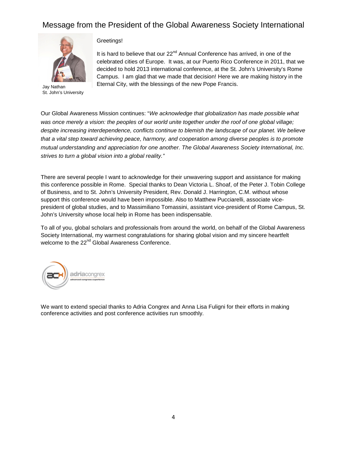## Message from the President of the Global Awareness Society International



Jay Nathan St. John's University

#### Greetings!

It is hard to believe that our 22<sup>nd</sup> Annual Conference has arrived, in one of the celebrated cities of Europe. It was, at our Puerto Rico Conference in 2011, that we decided to hold 2013 international conference, at the St. John's University's Rome Campus. I am glad that we made that decision! Here we are making history in the Eternal City, with the blessings of the new Pope Francis.

Our Global Awareness Mission continues: "*We acknowledge that globalization has made possible what was once merely a vision: the peoples of our world unite together under the roof of one global village; despite increasing interdependence, conflicts continue to blemish the landscape of our planet. We believe that a vital step toward achieving peace, harmony, and cooperation among diverse peoples is to promote mutual understanding and appreciation for one another. The Global Awareness Society International, Inc. strives to turn a global vision into a global reality."*

There are several people I want to acknowledge for their unwavering support and assistance for making this conference possible in Rome. Special thanks to Dean Victoria L. Shoaf, of the Peter J. Tobin College of Business, and to St. John's University President, Rev. Donald J. Harrington, C.M. without whose support this conference would have been impossible. Also to Matthew Pucciarelli, associate vicepresident of global studies, and to Massimiliano Tomassini, assistant vice-president of Rome Campus, St. John's University whose local help in Rome has been indispensable.

To all of you, global scholars and professionals from around the world, on behalf of the Global Awareness Society International, my warmest congratulations for sharing global vision and my sincere heartfelt welcome to the 22<sup>nd</sup> Global Awareness Conference.



We want to extend special thanks to Adria Congrex and Anna Lisa Fuligni for their efforts in making conference activities and post conference activities run smoothly.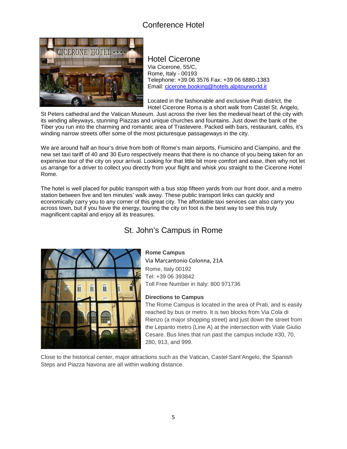# Conference Hotel



## Hotel Cicerone

Via Cicerone, 55/C, Rome, Italy - 00193 Telephone: +39 06 3576 Fax: +39 06 6880-1383 Email: [cicerone.booking@hotels.alpitourworld.it](mailto:cicerone.booking@hotels.alpitourworld.it)

Located in the fashionable and exclusive Prati district, the Hotel Cicerone Roma is a short walk from Castel St. Angelo,

St Peters cathedral and the Vatican Museum. Just across the river lies the medieval heart of the city with its winding alleyways, stunning Piazzas and unique churches and fountains. Just down the bank of the Tiber you run into the charming and romantic area of Trastevere. Packed with bars, restaurant, cafés, it's winding narrow streets offer some of the most picturesque passageways in the city.

We are around half an hour's drive from both of Rome's main airports, Fiumicino and Ciampino, and the new set taxi tariff of 40 and 30 Euro respectively means that there is no chance of you being taken for an expensive tour of the city on your arrival. Looking for that little bit more comfort and ease, then why not let us arrange for a driver to collect you directly from your flight and whisk you straight to the Cicerone Hotel Rome.

The hotel is well placed for public transport with a bus stop fifteen yards from our front door, and a metro station between five and ten minutes' walk away. These public transport links can quickly and economically carry you to any corner of this great city. The affordable taxi services can also carry you across town, but if you have the energy, touring the city on foot is the best way to see this truly magnificent capital and enjoy all its treasures.

## St. John's Campus in Rome



### **Rome Campus**

Via Marcantonio Colonna, 21A Rome, Italy 00192 Tel: +39 06 393842 Toll Free Number in Italy: 800 971736

#### **Directions to Campus**

The Rome Campus is located in the area of Prati, and is easily reached by bus or metro. It is two blocks from Via Cola di Rienzo (a major shopping street) and just down the street from the Lepanto metro (Line A) at the intersection with Viale Giulio Cesare. Bus lines that run past the campus include #30, 70, 280, 913, and 999.

Close to the historical center, major attractions such as the Vatican, Castel Sant'Angelo, the Spanish Steps and Piazza Navona are all within walking distance.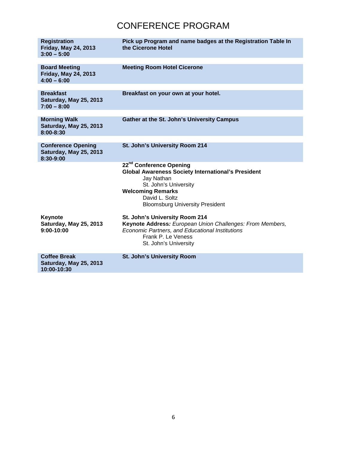# CONFERENCE PROGRAM

| <b>Registration</b><br><b>Friday, May 24, 2013</b><br>$3:00 - 5:00$     | Pick up Program and name badges at the Registration Table In<br>the Cicerone Hotel                                                                                                                                              |
|-------------------------------------------------------------------------|---------------------------------------------------------------------------------------------------------------------------------------------------------------------------------------------------------------------------------|
| <b>Board Meeting</b><br><b>Friday, May 24, 2013</b><br>$4:00 - 6:00$    | <b>Meeting Room Hotel Cicerone</b>                                                                                                                                                                                              |
| <b>Breakfast</b><br>Saturday, May 25, 2013<br>$7:00 - 8:00$             | Breakfast on your own at your hotel.                                                                                                                                                                                            |
| <b>Morning Walk</b><br><b>Saturday, May 25, 2013</b><br>8:00-8:30       | <b>Gather at the St. John's University Campus</b>                                                                                                                                                                               |
| <b>Conference Opening</b><br><b>Saturday, May 25, 2013</b><br>8:30-9:00 | St. John's University Room 214                                                                                                                                                                                                  |
|                                                                         | 22 <sup>nd</sup> Conference Opening<br><b>Global Awareness Society International's President</b><br>Jay Nathan<br>St. John's University<br><b>Welcoming Remarks</b><br>David L. Soltz<br><b>Bloomsburg University President</b> |
| Keynote<br><b>Saturday, May 25, 2013</b><br>$9:00-10:00$                | St. John's University Room 214<br>Keynote Address: European Union Challenges: From Members,<br>Economic Partners, and Educational Institutions<br>Frank P. Le Veness<br>St. John's University                                   |
| <b>Coffee Break</b><br><b>Saturday, May 25, 2013</b><br>10:00-10:30     | St. John's University Room                                                                                                                                                                                                      |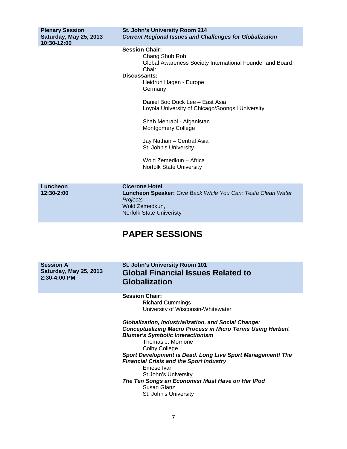| <b>Saturday, May 25, 2013</b><br>10:30-12:00                      | St. John's University Room 214<br><b>Current Regional Issues and Challenges for Globalization</b>                                                                                                                                                                                                                                                                                                                                            |
|-------------------------------------------------------------------|----------------------------------------------------------------------------------------------------------------------------------------------------------------------------------------------------------------------------------------------------------------------------------------------------------------------------------------------------------------------------------------------------------------------------------------------|
|                                                                   | <b>Session Chair:</b><br>Chang Shub Roh<br>Global Awareness Society International Founder and Board<br>Chair<br><b>Discussants:</b><br>Heidrun Hagen - Europe<br>Germany<br>Daniel Boo Duck Lee - East Asia<br>Loyola University of Chicago/Soongsil University<br>Shah Mehrabi - Afganistan<br><b>Montgomery College</b><br>Jay Nathan - Central Asia<br>St. John's University<br>Wold Zemedkun - Africa<br><b>Norfolk State University</b> |
| Luncheon<br>12:30-2:00                                            | <b>Cicerone Hotel</b><br>Luncheon Speaker: Give Back While You Can: Tesfa Clean Water<br>Projects<br>Wold Zemedkun,<br><b>Norfolk State Univeristy</b>                                                                                                                                                                                                                                                                                       |
|                                                                   | <b>PAPER SESSIONS</b>                                                                                                                                                                                                                                                                                                                                                                                                                        |
|                                                                   |                                                                                                                                                                                                                                                                                                                                                                                                                                              |
| <b>Session A</b><br><b>Saturday, May 25, 2013</b><br>2:30-4:00 PM | St. John's University Room 101<br><b>Global Financial Issues Related to</b><br><b>Globalization</b>                                                                                                                                                                                                                                                                                                                                          |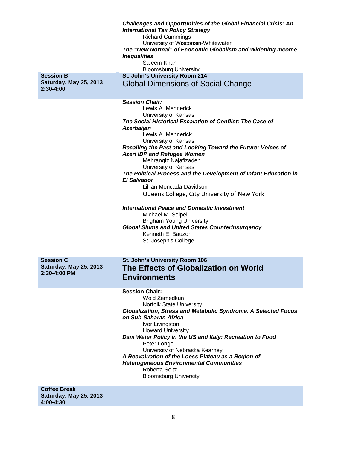|                                                                   | <b>Challenges and Opportunities of the Global Financial Crisis: An</b><br><b>International Tax Policy Strategy</b><br><b>Richard Cummings</b><br>University of Wisconsin-Whitewater<br>The "New Normal" of Economic Globalism and Widening Income                                                                                                                                                                                                                                                                                                                                                                                                                                                                                                    |
|-------------------------------------------------------------------|------------------------------------------------------------------------------------------------------------------------------------------------------------------------------------------------------------------------------------------------------------------------------------------------------------------------------------------------------------------------------------------------------------------------------------------------------------------------------------------------------------------------------------------------------------------------------------------------------------------------------------------------------------------------------------------------------------------------------------------------------|
|                                                                   | <b>Inequalities</b><br>Saleem Khan<br><b>Bloomsburg University</b>                                                                                                                                                                                                                                                                                                                                                                                                                                                                                                                                                                                                                                                                                   |
| <b>Session B</b><br><b>Saturday, May 25, 2013</b><br>2:30-4:00    | St. John's University Room 214<br><b>Global Dimensions of Social Change</b>                                                                                                                                                                                                                                                                                                                                                                                                                                                                                                                                                                                                                                                                          |
|                                                                   | <b>Session Chair:</b><br>Lewis A. Mennerick<br>University of Kansas<br>The Social Historical Escalation of Conflict: The Case of<br><b>Azerbaijan</b><br>Lewis A. Mennerick<br>University of Kansas<br>Recalling the Past and Looking Toward the Future: Voices of<br><b>Azeri IDP and Refugee Women</b><br>Mehrangiz Najafizadeh<br>University of Kansas<br>The Political Process and the Development of Infant Education in<br><b>El Salvador</b><br>Lillian Moncada-Davidson<br>Queens College, City University of New York<br><b>International Peace and Domestic Investment</b><br>Michael M. Seipel<br><b>Brigham Young University</b><br><b>Global Slums and United States Counterinsurgency</b><br>Kenneth E. Bauzon<br>St. Joseph's College |
| <b>Session C</b><br><b>Saturday, May 25, 2013</b><br>2:30-4:00 PM | St. John's University Room 106<br>The Effects of Globalization on World<br><b>Environments</b>                                                                                                                                                                                                                                                                                                                                                                                                                                                                                                                                                                                                                                                       |
|                                                                   | <b>Session Chair:</b><br>Wold Zemedkun<br><b>Norfolk State University</b><br>Globalization, Stress and Metabolic Syndrome. A Selected Focus<br>on Sub-Saharan Africa<br>Ivor Livingston<br><b>Howard University</b><br>Dam Water Policy in the US and Italy: Recreation to Food<br>Peter Longo<br>University of Nebraska Kearney<br>A Reevaluation of the Loess Plateau as a Region of<br><b>Heterogeneous Environmental Communities</b><br>Roberta Soltz<br><b>Bloomsburg University</b>                                                                                                                                                                                                                                                            |

**Coffee Break Saturday, May 25, 2013 4:00-4:30**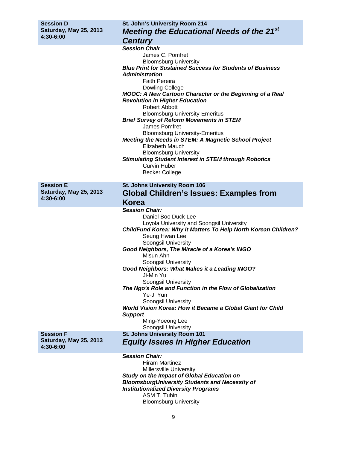| <b>Session D</b><br><b>Saturday, May 25, 2013</b><br>4:30-6:00 | St. John's University Room 214<br>Meeting the Educational Needs of the 21st<br><b>Century</b>                                                                                                                                                                                                                                                                                                                                                                                                                                                                                                                                                                                                                                                |
|----------------------------------------------------------------|----------------------------------------------------------------------------------------------------------------------------------------------------------------------------------------------------------------------------------------------------------------------------------------------------------------------------------------------------------------------------------------------------------------------------------------------------------------------------------------------------------------------------------------------------------------------------------------------------------------------------------------------------------------------------------------------------------------------------------------------|
|                                                                | <b>Session Chair</b><br>James C. Pomfret<br><b>Bloomsburg University</b><br><b>Blue Print for Sustained Success for Students of Business</b><br><b>Administration</b><br><b>Faith Pereira</b><br><b>Dowling College</b><br><b>MOOC: A New Cartoon Character or the Beginning of a Real</b><br><b>Revolution in Higher Education</b><br><b>Robert Abbott</b><br><b>Bloomsburg University-Emeritus</b><br><b>Brief Survey of Reform Movements in STEM</b><br>James Pomfret<br><b>Bloomsburg University-Emeritus</b><br>Meeting the Needs in STEM: A Magnetic School Project<br>Elizabeth Mauch<br><b>Bloomsburg University</b><br><b>Stimulating Student Interest in STEM through Robotics</b><br><b>Curvin Huber</b><br><b>Becker College</b> |
| <b>Session E</b><br>Saturday, May 25, 2013<br>4:30-6:00        | St. Johns University Room 106<br>Global Children's Issues: Examples from<br>Korea                                                                                                                                                                                                                                                                                                                                                                                                                                                                                                                                                                                                                                                            |
|                                                                | <b>Session Chair:</b><br>Daniel Boo Duck Lee<br>Loyola University and Soongsil University<br>ChildFund Korea: Why It Matters To Help North Korean Children?<br>Seung Hwan Lee<br>Soongsil University<br>Good Neighbors, The Miracle of a Korea's INGO<br>Misun Ahn<br>Soongsil University<br>Good Neighbors: What Makes it a Leading INGO?<br>Ji-Min Yu<br>Soongsil University<br>The Ngo's Role and Function in the Flow of Globalization<br>Ye-Ji Yun<br>Soongsil University<br>World Vision Korea: How it Became a Global Giant for Child<br><b>Support</b><br>Ming-Yoeong Lee<br>Soongsil University                                                                                                                                     |
| <b>Session F</b><br><b>Saturday, May 25, 2013</b><br>4:30-6:00 | St. Johns University Room 101<br><b>Equity Issues in Higher Education</b>                                                                                                                                                                                                                                                                                                                                                                                                                                                                                                                                                                                                                                                                    |
|                                                                | <b>Session Chair:</b><br><b>Hiram Martinez</b><br>Millersville University<br><b>Study on the Impact of Global Education on</b><br><b>BloomsburgUniversity Students and Necessity of</b><br><b>Institutionalized Diversity Programs</b><br>ASM T. Tuhin<br><b>Bloomsburg University</b>                                                                                                                                                                                                                                                                                                                                                                                                                                                       |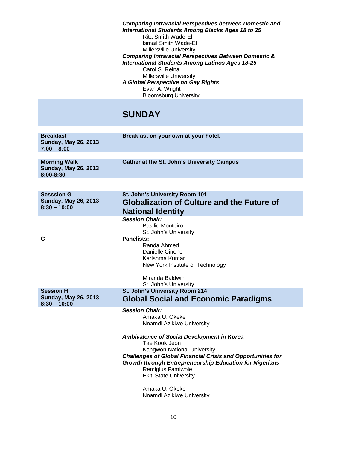*Comparing Intraracial Perspectives between Domestic and International Students Among Blacks Ages 18 to 25* Rita Smith Wade-El Ismail Smith Wade-El Millersville University *Comparing Intraracial Perspectives Between Domestic & International Students Among Latinos Ages 18-25* Carol S. Reina Millersville University *A Global Perspective on Gay Rights* Evan A. Wright Bloomsburg University

# **SUNDAY**

| <b>Breakfast</b><br><b>Sunday, May 26, 2013</b><br>$7:00 - 8:00$   | Breakfast on your own at your hotel.                                                                                                                                                                                                                                                                              |
|--------------------------------------------------------------------|-------------------------------------------------------------------------------------------------------------------------------------------------------------------------------------------------------------------------------------------------------------------------------------------------------------------|
| <b>Morning Walk</b><br><b>Sunday, May 26, 2013</b><br>8:00-8:30    | <b>Gather at the St. John's University Campus</b>                                                                                                                                                                                                                                                                 |
|                                                                    |                                                                                                                                                                                                                                                                                                                   |
| <b>Sesssion G</b><br><b>Sunday, May 26, 2013</b><br>$8:30 - 10:00$ | St. John's University Room 101<br><b>Globalization of Culture and the Future of</b><br><b>National Identity</b>                                                                                                                                                                                                   |
| G                                                                  | <b>Session Chair:</b><br><b>Basilio Monteiro</b><br>St. John's University<br>Panelists:<br>Randa Ahmed<br>Danielle Cinone<br>Karishma Kumar<br>New York Institute of Technology<br>Miranda Baldwin<br>St. John's University                                                                                       |
| <b>Session H</b><br><b>Sunday, May 26, 2013</b><br>$8:30 - 10:00$  | St. John's University Room 214<br><b>Global Social and Economic Paradigms</b>                                                                                                                                                                                                                                     |
|                                                                    | <b>Session Chair:</b><br>Amaka U. Okeke<br>Nnamdi Azikiwe University                                                                                                                                                                                                                                              |
|                                                                    | <b>Ambivalence of Social Development in Korea</b><br>Tae Kook Jeon<br>Kangwon National University<br><b>Challenges of Global Financial Crisis and Opportunities for</b><br><b>Growth through Entrepreneurship Education for Nigerians</b><br>Remigius Famiwole<br><b>Ekiti State University</b><br>Amaka U. Okeke |
|                                                                    | Nnamdi Azikiwe University                                                                                                                                                                                                                                                                                         |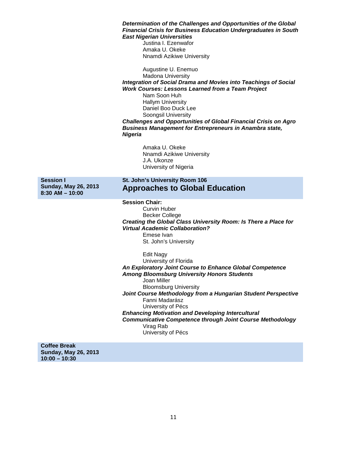#### *Determination of the Challenges and Opportunities of the Global Financial Crisis for Business Education Undergraduates in South East Nigerian Universities*

Justina I. Ezenwafor Amaka U. Okeke Nnamdi Azikiwe University

Augustine U. Enemuo Madona University *Integration of Social Drama and Movies into Teachings of Social Work Courses: Lessons Learned from a Team Project* Nam Soon Huh Hallym University Daniel Boo Duck Lee Soongsil University *Challenges and Opportunities of Global Financial Crisis on Agro Business Management for Entrepreneurs in Anambra state, Nigeria*

> Amaka U. Okeke Nnamdi Azikiwe University J.A. Ukonze University of Nigeria

**Session I Sunday, May 26, 2013 8:30 AM – 10:00**

### **St. John's University Room 106 Approaches to Global Education**

#### **Session Chair:**

Curvin Huber Becker College *Creating the Global Class University Room: Is There a Place for Virtual Academic Collaboration?* Emese Ivan St. John's University

Edit Nagy University of Florida *An Exploratory Joint Course to Enhance Global Competence Among Bloomsburg University Honors Students*

Joan Miller

Bloomsburg University

*Joint Course Methodology from a Hungarian Student Perspective* Fanni Madarász University of Pécs

*Enhancing Motivation and Developing Intercultural* 

*Communicative Competence through Joint Course Methodology*

Virag Rab University of Pécs

**Coffee Break Sunday, May 26, 2013 10:00 – 10:30**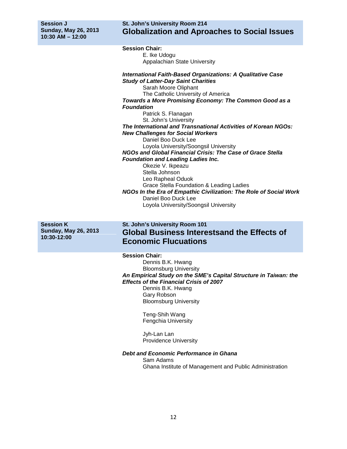## **St. John's University Room 214 Globalization and Aproaches to Social Issues**

**Session Chair:** E. Ike Udogu Appalachian State University

#### *International Faith-Based Organizations: A Qualitative Case Study of Latter-Day Saint Charities*

Sarah Moore Oliphant The Catholic University of America *Towards a More Promising Economy: The Common Good as a Foundation* Patrick S. Flanagan St. John's University *The International and Transnational Activities of Korean NGOs: New Challenges for Social Workers* Daniel Boo Duck Lee Loyola University/Soongsil University *NGOs and Global Financial Crisis: The Case of Grace Stella Foundation and Leading Ladies Inc.* Okezie V. Ikpeazu Stella Johnson Leo Rapheal Oduok Grace Stella Foundation & Leading Ladies *NGOs In the Era of Empathic Civilization: The Role of Social Work* Daniel Boo Duck Lee

Loyola University/Soongsil University

**Session K Sunday, May 26, 2013 10:30-12:00**

## **St. John's University Room 101 Global Business Interestsand the Effects of Economic Flucuations**

#### **Session Chair:**

Dennis B.K. Hwang Bloomsburg University *An Empirical Study on the SME's Capital Structure in Taiwan: the Effects of the Financial Crisis of 2007*

Dennis B.K. Hwang Gary Robson Bloomsburg University

Teng-Shih Wang Fengchia University

Jyh-Lan Lan Providence University

#### *Debt and Economic Performance in Ghana*

Sam Adams Ghana Institute of Management and Public Administration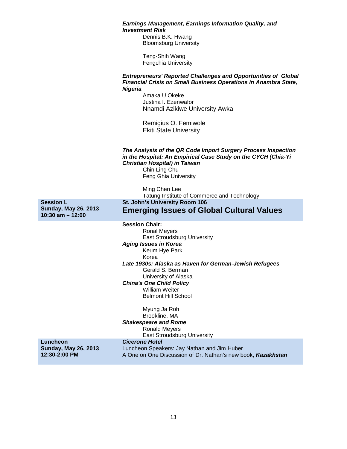|                                                                         | <b>Earnings Management, Earnings Information Quality, and</b><br><b>Investment Risk</b><br>Dennis B.K. Hwang<br><b>Bloomsburg University</b><br>Teng-Shih Wang<br>Fengchia University<br><b>Entrepreneurs' Reported Challenges and Opportunities of Global</b><br>Financial Crisis on Small Business Operations in Anambra State,<br><b>Nigeria</b><br>Amaka U.Okeke |
|-------------------------------------------------------------------------|----------------------------------------------------------------------------------------------------------------------------------------------------------------------------------------------------------------------------------------------------------------------------------------------------------------------------------------------------------------------|
|                                                                         | Justina I. Ezenwafor<br>Nnamdi Azikiwe University Awka                                                                                                                                                                                                                                                                                                               |
|                                                                         | Remigius O. Femiwole<br><b>Ekiti State University</b>                                                                                                                                                                                                                                                                                                                |
|                                                                         | The Analysis of the QR Code Import Surgery Process Inspection<br>in the Hospital: An Empirical Case Study on the CYCH (Chia-Yi<br>Christian Hospital) in Taiwan<br>Chin Ling Chu<br>Feng Ghia University<br>Ming Chen Lee                                                                                                                                            |
|                                                                         | Tatung Institute of Commerce and Technology                                                                                                                                                                                                                                                                                                                          |
|                                                                         |                                                                                                                                                                                                                                                                                                                                                                      |
| <b>Session L</b><br><b>Sunday, May 26, 2013</b><br>$10:30$ am $- 12:00$ | St. John's University Room 106<br><b>Emerging Issues of Global Cultural Values</b>                                                                                                                                                                                                                                                                                   |
|                                                                         | <b>Session Chair:</b><br><b>Ronal Meyers</b><br><b>East Stroudsburg University</b><br><b>Aging Issues in Korea</b><br>Keum Hye Park<br>Korea<br>Late 1930s: Alaska as Haven for German-Jewish Refugees<br>Gerald S. Berman<br>University of Alaska<br><b>China's One Child Policy</b><br><b>William Weiter</b><br><b>Belmont Hill School</b>                         |
|                                                                         | Myung Ja Roh<br>Brookline, MA<br><b>Shakespeare and Rome</b><br><b>Ronald Meyers</b>                                                                                                                                                                                                                                                                                 |
| Luncheon<br><b>Sunday, May 26, 2013</b>                                 | <b>East Stroudsburg University</b><br><b>Cicerone Hotel</b><br>Luncheon Speakers: Jay Nathan and Jim Huber                                                                                                                                                                                                                                                           |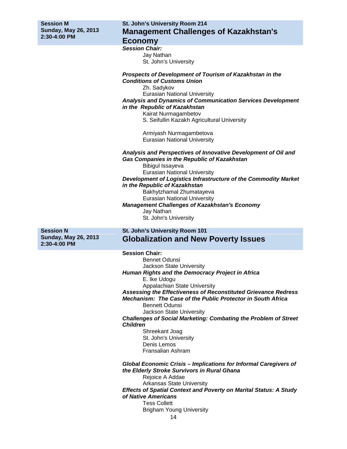| <b>Session M</b><br><b>Sunday, May 26, 2013</b><br>2:30-4:00 PM   | St. John's University Room 214<br><b>Management Challenges of Kazakhstan's</b><br><b>Economy</b>                                                                                                                                                                                                                                                                                                                                                                                                                                                                                                                                                                                                                                                                                                                      |
|-------------------------------------------------------------------|-----------------------------------------------------------------------------------------------------------------------------------------------------------------------------------------------------------------------------------------------------------------------------------------------------------------------------------------------------------------------------------------------------------------------------------------------------------------------------------------------------------------------------------------------------------------------------------------------------------------------------------------------------------------------------------------------------------------------------------------------------------------------------------------------------------------------|
|                                                                   | <b>Session Chair:</b><br>Jay Nathan<br>St. John's University                                                                                                                                                                                                                                                                                                                                                                                                                                                                                                                                                                                                                                                                                                                                                          |
|                                                                   | Prospects of Development of Tourism of Kazakhstan in the<br><b>Conditions of Customs Union</b><br>Zh. Sadykov<br><b>Eurasian National University</b><br>Analysis and Dynamics of Communication Services Development<br>in the Republic of Kazakhstan<br>Kairat Nurmagambetov<br>S. Seifullin Kazakh Agricultural University                                                                                                                                                                                                                                                                                                                                                                                                                                                                                           |
|                                                                   | Armiyash Nurmagambetova<br><b>Eurasian National University</b>                                                                                                                                                                                                                                                                                                                                                                                                                                                                                                                                                                                                                                                                                                                                                        |
|                                                                   | Analysis and Perspectives of Innovative Development of Oil and<br>Gas Companies in the Republic of Kazakhstan<br><b>Bibigul Issayeva</b><br><b>Eurasian National University</b><br>Development of Logistics Infrastructure of the Commodity Market<br>in the Republic of Kazakhstan<br>Bakhytzhamal Zhumatayeva<br><b>Eurasian National University</b><br><b>Management Challenges of Kazakhstan's Economy</b><br>Jay Nathan<br>St. John's University                                                                                                                                                                                                                                                                                                                                                                 |
| <b>Session N</b><br><b>Sunday, May 26, 2013</b><br>$2:30-4:00$ PM | St. John's University Room 101<br><b>Globalization and New Poverty Issues</b>                                                                                                                                                                                                                                                                                                                                                                                                                                                                                                                                                                                                                                                                                                                                         |
|                                                                   | <b>Session Chair:</b><br>Bennet Odunsi<br>Jackson State University<br><b>Human Rights and the Democracy Project in Africa</b><br>E. Ike Udogu<br>Appalachian State University<br>Assessing the Effectiveness of Reconstituted Grievance Redress<br>Mechanism: The Case of the Public Protector in South Africa<br><b>Bennett Odunsi</b><br>Jackson State University<br><b>Challenges of Social Marketing: Combating the Problem of Street</b><br><b>Children</b><br>Shreekant Joag<br>St. John's University<br>Denis Lemos<br>Fransalian Ashram<br>Global Economic Crisis - Implications for Informal Caregivers of<br>the Elderly Stroke Survivors in Rural Ghana<br>Rejoice A Addae<br>Arkansas State University<br><b>Effects of Spatial Context and Poverty on Marital Status: A Study</b><br>of Native Americans |

Tess Collett Brigham Young University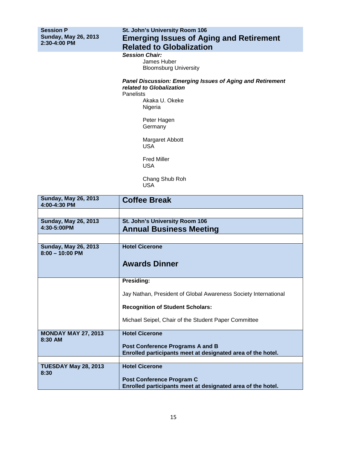**Session P Sunday, May 26, 2013 2:30-4:00 PM**

## **St. John's University Room 106 Emerging Issues of Aging and Retirement Related to Globalization**

*Session Chair:*

James Huber Bloomsburg University

#### *Panel Discussion: Emerging Issues of Aging and Retirement related to Globalization*

**Panelists** 

Akaka U. Okeke Nigeria

Peter Hagen Germany

Margaret Abbott USA

Fred Miller USA

Chang Shub Roh USA

| <b>Sunday, May 26, 2013</b><br>4:00-4:30 PM      | <b>Coffee Break</b>                                                                                                             |
|--------------------------------------------------|---------------------------------------------------------------------------------------------------------------------------------|
|                                                  |                                                                                                                                 |
| <b>Sunday, May 26, 2013</b><br>4:30-5:00PM       | St. John's University Room 106<br><b>Annual Business Meeting</b>                                                                |
|                                                  |                                                                                                                                 |
| <b>Sunday, May 26, 2013</b><br>$8:00 - 10:00$ PM | <b>Hotel Cicerone</b>                                                                                                           |
|                                                  | <b>Awards Dinner</b>                                                                                                            |
|                                                  | Presiding:                                                                                                                      |
|                                                  | Jay Nathan, President of Global Awareness Society International                                                                 |
|                                                  | <b>Recognition of Student Scholars:</b>                                                                                         |
|                                                  | Michael Seipel, Chair of the Student Paper Committee                                                                            |
| <b>MONDAY MAY 27, 2013</b><br>8:30 AM            | <b>Hotel Cicerone</b><br><b>Post Conference Programs A and B</b><br>Enrolled participants meet at designated area of the hotel. |
|                                                  |                                                                                                                                 |
| TUESDAY May 28, 2013<br>8:30                     | <b>Hotel Cicerone</b><br>Post Conference Program C<br>Enrolled participants meet at designated area of the hotel.               |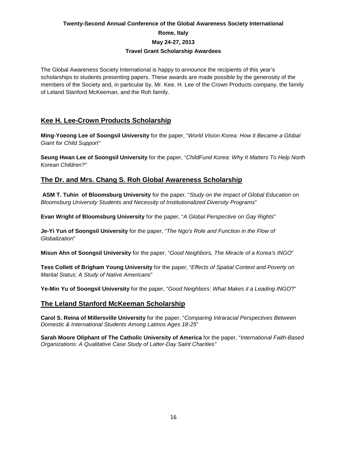## **Twenty-Second Annual Conference of the Global Awareness Society International Rome, Italy May 24-27, 2013 Travel Grant Scholarship Awardees**

The Global Awareness Society International is happy to announce the recipients of this year's scholarships to students presenting papers. These awards are made possible by the generosity of the members of the Society and, in particular by, Mr. Kee. H. Lee of the Crown Products company, the family of Leland Stanford McKeeman, and the Roh family.

## **Kee H. Lee-Crown Products Scholarship**

**Ming-Yoeong Lee of Soongsil University** for the paper, "*World Vision Korea: How it Became a Global Giant for Child Support"*

**Seung Hwan Lee of Soongsil University** for the paper, "*ChildFund Korea: Why It Matters To Help North Korean Children?"*

## **The Dr. and Mrs. Chang S. Roh Global Awareness Scholarship**

**ASM T. Tuhin of Bloomsburg University** for the paper, "*Study on the Impact of Global Education on Bloomsburg University Students and Necessity of Institutionalized Diversity Programs*"

**Evan Wright of Bloomsburg University** for the paper, "*A Global Perspective on Gay Rights*"

**Je-Yi Yun of Soongsil University** for the paper, "*The Ngo's Role and Function in the Flow of Globalization*"

**Misun Ahn of Soongsil University** for the paper, "*Good Neighbors, The Miracle of a Korea's INGO*"

**Tess Collett of Brigham Young University** for the paper, "*Effects of Spatial Context and Poverty on Marital Status: A Study of Native Americans*"

**Ye-Min Yu of Soongsil University** for the paper, "*Good Neighbors: What Makes it a Leading INGO*?"

## **The Leland Stanford McKeeman Scholarship**

**Carol S. Reina of Millersville University** for the paper, "*Comparing Intraracial Perspectives Between Domestic & International Students Among Latinos Ages 18-25*"

**Sarah Moore Oliphant of The Catholic University of America** for the paper, "*International Faith-Based Organizations: A Qualitative Case Study of Latter-Day Saint Charities"*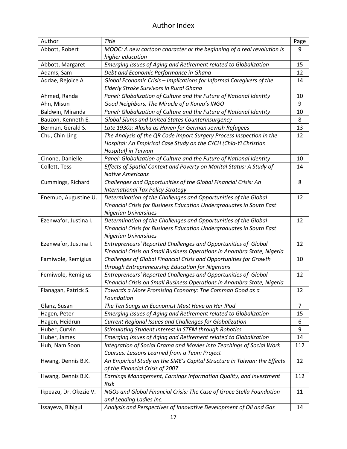| Author                 | Title                                                                    | Page |
|------------------------|--------------------------------------------------------------------------|------|
| Abbott, Robert         | MOOC: A new cartoon character or the beginning of a real revolution is   | 9    |
|                        | higher education                                                         |      |
| Abbott, Margaret       | Emerging Issues of Aging and Retirement related to Globalization         | 15   |
| Adams, Sam             | Debt and Economic Performance in Ghana                                   | 12   |
| Addae, Rejoice A       | Global Economic Crisis - Implications for Informal Caregivers of the     | 14   |
|                        | Elderly Stroke Survivors in Rural Ghana                                  |      |
| Ahmed, Randa           | Panel: Globalization of Culture and the Future of National Identity      | 10   |
| Ahn, Misun             | Good Neighbors, The Miracle of a Korea's INGO                            | 9    |
| Baldwin, Miranda       | Panel: Globalization of Culture and the Future of National Identity      | 10   |
| Bauzon, Kenneth E.     | Global Slums and United States Counterinsurgency                         | 8    |
| Berman, Gerald S.      | Late 1930s: Alaska as Haven for German-Jewish Refugees                   | 13   |
| Chu, Chin Ling         | The Analysis of the QR Code Import Surgery Process Inspection in the     | 12   |
|                        | Hospital: An Empirical Case Study on the CYCH (Chia-Yi Christian         |      |
|                        | Hospital) in Taiwan                                                      |      |
| Cinone, Danielle       | Panel: Globalization of Culture and the Future of National Identity      | 10   |
| Collett, Tess          | Effects of Spatial Context and Poverty on Marital Status: A Study of     | 14   |
|                        | <b>Native Americans</b>                                                  |      |
| Cummings, Richard      | Challenges and Opportunities of the Global Financial Crisis: An          | 8    |
|                        | <b>International Tax Policy Strategy</b>                                 |      |
| Enemuo, Augustine U.   | Determination of the Challenges and Opportunities of the Global          | 12   |
|                        | Financial Crisis for Business Education Undergraduates in South East     |      |
|                        | <b>Nigerian Universities</b>                                             |      |
| Ezenwafor, Justina I.  | Determination of the Challenges and Opportunities of the Global          | 12   |
|                        | Financial Crisis for Business Education Undergraduates in South East     |      |
|                        | <b>Nigerian Universities</b>                                             |      |
| Ezenwafor, Justina I.  | Entrepreneurs' Reported Challenges and Opportunities of Global           | 12   |
|                        | Financial Crisis on Small Business Operations in Anambra State, Nigeria  |      |
| Famiwole, Remigius     | Challenges of Global Financial Crisis and Opportunities for Growth       | 10   |
|                        | through Entrepreneurship Education for Nigerians                         |      |
| Femiwole, Remigius     | Entrepreneurs' Reported Challenges and Opportunities of Global           | 12   |
|                        | Financial Crisis on Small Business Operations in Anambra State, Nigeria  |      |
| Flanagan, Patrick S.   | Towards a More Promising Economy: The Comman Good as a                   | 12   |
|                        | Foundation                                                               |      |
| Glanz, Susan           | The Ten Songs an Economist Must Have on Her IPod                         | 7    |
| Hagen, Peter           | Emerging Issues of Aging and Retirement related to Globalization         | 15   |
| Hagen, Heidrun         | Current Regional Issues and Challenges for Globalization                 | 6    |
| Huber, Curvin          | Stimulating Student Interest in STEM through Robotics                    | 9    |
| Huber, James           | Emerging Issues of Aging and Retirement related to Globalization         | 14   |
| Huh, Nam Soon          | Integration of Social Drama and Movies into Teachings of Social Work     | 112  |
|                        | Courses: Lessons Learned from a Team Project                             |      |
| Hwang, Dennis B.K.     | An Empirical Study on the SME's Capital Structure in Taiwan: the Effects | 12   |
|                        | of the Financial Crisis of 2007                                          |      |
| Hwang, Dennis B.K.     | Earnings Management, Earnings Information Quality, and Investment        | 112  |
|                        | <b>Risk</b>                                                              |      |
| Ikpeazu, Dr. Okezie V. | NGOs and Global Financial Crisis: The Case of Grace Stella Foundation    | 11   |
|                        | and Leading Ladies Inc.                                                  |      |
| Issayeva, Bibigul      | Analysis and Perspectives of Innovative Development of Oil and Gas       | 14   |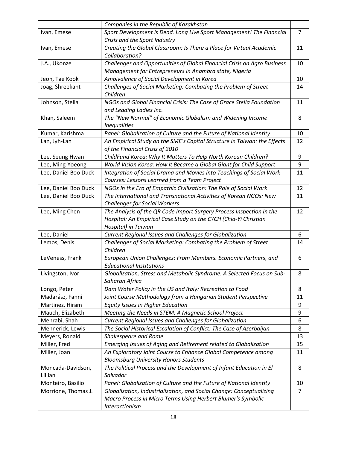|                      | Companies in the Republic of Kazakhstan                                  |                |
|----------------------|--------------------------------------------------------------------------|----------------|
| Ivan, Emese          | Sport Development is Dead. Long Live Sport Management! The Financial     | $\overline{7}$ |
|                      | Crisis and the Sport Industry                                            |                |
| Ivan, Emese          | Creating the Global Classroom: Is There a Place for Virtual Academic     | 11             |
|                      | Collaboration?                                                           |                |
| J.A., Ukonze         | Challenges and Opportunities of Global Financial Crisis on Agro Business | 10             |
|                      | Management for Entrepreneurs in Anambra state, Nigeria                   |                |
| Jeon, Tae Kook       | Ambivalence of Social Development in Korea                               | 10             |
| Joag, Shreekant      | Challenges of Social Marketing: Combating the Problem of Street          | 14             |
|                      | Children                                                                 |                |
| Johnson, Stella      | NGOs and Global Financial Crisis: The Case of Grace Stella Foundation    | 11             |
|                      | and Leading Ladies Inc.                                                  |                |
| Khan, Saleem         | The "New Normal" of Economic Globalism and Widening Income               | 8              |
|                      | <b>Inequalities</b>                                                      |                |
| Kumar, Karishma      | Panel: Globalization of Culture and the Future of National Identity      | 10             |
| Lan, Jyh-Lan         | An Empirical Study on the SME's Capital Structure in Taiwan: the Effects | 12             |
|                      | of the Financial Crisis of 2010                                          |                |
| Lee, Seung Hwan      | ChildFund Korea: Why It Matters To Help North Korean Children?           | 9              |
| Lee, Ming-Yoeong     | World Vision Korea: How it Became a Global Giant for Child Support       | 9              |
| Lee, Daniel Boo Duck | Integration of Social Drama and Movies into Teachings of Social Work     | 11             |
|                      | Courses: Lessons Learned from a Team Project                             |                |
| Lee, Daniel Boo Duck | NGOs In the Era of Empathic Civilization: The Role of Social Work        | 12             |
| Lee, Daniel Boo Duck | The International and Transnational Activities of Korean NGOs: New       | 11             |
|                      | <b>Challenges for Social Workers</b>                                     |                |
| Lee, Ming Chen       | The Analysis of the QR Code Import Surgery Process Inspection in the     | 12             |
|                      | Hospital: An Empirical Case Study on the CYCH (Chia-Yi Christian         |                |
|                      | Hospital) in Taiwan                                                      |                |
| Lee, Daniel          | Current Regional Issues and Challenges for Globalization                 | 6              |
| Lemos, Denis         | Challenges of Social Marketing: Combating the Problem of Street          | 14             |
|                      | Children                                                                 |                |
| LeVeness, Frank      | European Union Challenges: From Members. Economic Partners, and          | 6              |
|                      | <b>Educational Institutions</b>                                          |                |
| Livingston, Ivor     | Globalization, Stress and Metabolic Syndrome. A Selected Focus on Sub-   | 8              |
|                      | Saharan Africa                                                           |                |
| Longo, Peter         | Dam Water Policy in the US and Italy: Recreation to Food                 | 8              |
| Madarász, Fanni      | Joint Course Methodology from a Hungarian Student Perspective            | 11             |
| Martinez, Hiram      | Equity Issues in Higher Education                                        | 9              |
| Mauch, Elizabeth     | Meeting the Needs in STEM: A Magnetic School Project                     | 9              |
| Mehrabi, Shah        | Current Regional Issues and Challenges for Globalization                 | 6              |
| Mennerick, Lewis     | The Social Historical Escalation of Conflict: The Case of Azerbaijan     | 8              |
| Meyers, Ronald       | Shakespeare and Rome                                                     | 13             |
| Miller, Fred         | Emerging Issues of Aging and Retirement related to Globalization         | 15             |
| Miller, Joan         | An Exploratory Joint Course to Enhance Global Competence among           | 11             |
|                      | <b>Bloomsburg University Honors Students</b>                             |                |
| Moncada-Davidson,    | The Political Process and the Development of Infant Education in El      | 8              |
| Lillian              | Salvador                                                                 |                |
| Monteiro, Basilio    | Panel: Globalization of Culture and the Future of National Identity      | 10             |
| Morrione, Thomas J.  | Globalization, Industrialization, and Social Change: Conceptualizing     | 7              |
|                      | Macro Process in Micro Terms Using Herbert Blumer's Symbolic             |                |
|                      | Interactionism                                                           |                |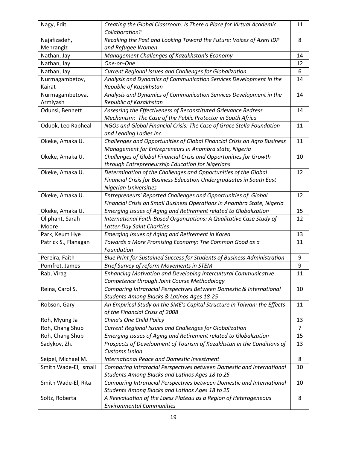| Nagy, Edit            | Creating the Global Classroom: Is There a Place for Virtual Academic<br>Collaboration? | 11 |
|-----------------------|----------------------------------------------------------------------------------------|----|
| Najafizadeh,          | Recalling the Past and Looking Toward the Future: Voices of Azeri IDP                  | 8  |
| Mehrangiz             | and Refugee Women                                                                      |    |
| Nathan, Jay           | Management Challenges of Kazakhstan's Economy                                          | 14 |
| Nathan, Jay           | One-on-One                                                                             | 12 |
| Nathan, Jay           | Current Regional Issues and Challenges for Globalization                               | 6  |
| Nurmagambetov,        | Analysis and Dynamics of Communication Services Development in the                     | 14 |
| Kairat                | Republic of Kazakhstan                                                                 |    |
| Nurmagambetova,       | Analysis and Dynamics of Communication Services Development in the                     | 14 |
| Armiyash              | Republic of Kazakhstan                                                                 |    |
| Odunsi, Bennett       | Assessing the Effectiveness of Reconstituted Grievance Redress                         | 14 |
|                       | Mechanism: The Case of the Public Protector in South Africa                            |    |
| Oduok, Leo Rapheal    | NGOs and Global Financial Crisis: The Case of Grace Stella Foundation                  | 11 |
|                       | and Leading Ladies Inc.                                                                |    |
| Okeke, Amaka U.       | Challenges and Opportunities of Global Financial Crisis on Agro Business               | 11 |
|                       | Management for Entrepreneurs in Anambra state, Nigeria                                 |    |
| Okeke, Amaka U.       | Challenges of Global Financial Crisis and Opportunities for Growth                     | 10 |
|                       | through Entrepreneurship Education for Nigerians                                       |    |
| Okeke, Amaka U.       | Determination of the Challenges and Opportunities of the Global                        | 12 |
|                       | Financial Crisis for Business Education Undergraduates in South East                   |    |
|                       | <b>Nigerian Universities</b>                                                           |    |
| Okeke, Amaka U.       | Entrepreneurs' Reported Challenges and Opportunities of Global                         | 12 |
|                       | Financial Crisis on Small Business Operations in Anambra State, Nigeria                |    |
| Okeke, Amaka U.       | Emerging Issues of Aging and Retirement related to Globalization                       | 15 |
| Oliphant, Sarah       | International Faith-Based Organizations: A Qualitative Case Study of                   | 12 |
| Moore                 | Latter-Day Saint Charities                                                             |    |
| Park, Keum Hye        | Emerging Issues of Aging and Retirement in Korea                                       | 13 |
| Patrick S., Flanagan  | Towards a More Promising Economy: The Common Good as a                                 | 11 |
|                       | Foundation                                                                             |    |
| Pereira, Faith        | Blue Print for Sustained Success for Students of Business Administration               | 9  |
| Pomfret, James        | Brief Survey of reform Movements in STEM                                               | 9  |
| Rab, Virag            | Enhancing Motivation and Developing Intercultural Communicative                        | 11 |
|                       | Competence through Joint Course Methodology                                            |    |
| Reina, Carol S.       | Comparing Intraracial Perspectives Between Domestic & International                    | 10 |
|                       | Students Among Blacks & Latinos Ages 18-25                                             |    |
| Robson, Gary          | An Empirical Study on the SME's Capital Structure in Taiwan: the Effects               | 11 |
|                       | of the Financial Crisis of 2008                                                        |    |
| Roh, Myung Ja         | China's One Child Policy                                                               | 13 |
| Roh, Chang Shub       | Current Regional Issues and Challenges for Globalization                               | 7  |
| Roh, Chang Shub       | Emerging Issues of Aging and Retirement related to Globalization                       | 15 |
| Sadykov, Zh.          | Prospects of Development of Tourism of Kazakhstan in the Conditions of                 | 13 |
|                       | <b>Customs Union</b>                                                                   |    |
| Seipel, Michael M.    | <b>International Peace and Domestic Investment</b>                                     | 8  |
| Smith Wade-El, Ismail | Comparing Intraracial Perspectives between Domestic and International                  | 10 |
|                       | Students Among Blacks and Latinos Ages 18 to 25                                        |    |
| Smith Wade-El, Rita   | Comparing Intraracial Perspectives between Domestic and International                  | 10 |
|                       | Students Among Blacks and Latinos Ages 18 to 25                                        |    |
| Soltz, Roberta        | A Reevaluation of the Loess Plateau as a Region of Heterogeneous                       | 8  |
|                       | <b>Environmental Communities</b>                                                       |    |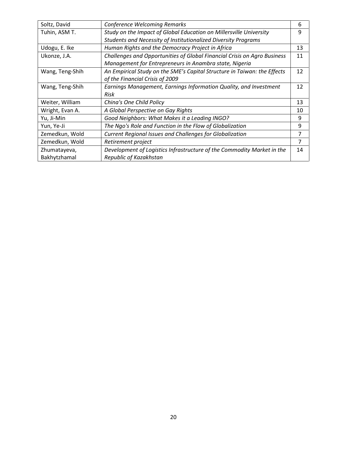| Soltz, David    | <b>Conference Welcoming Remarks</b>                                      | 6  |
|-----------------|--------------------------------------------------------------------------|----|
| Tuhin, ASM T.   | Study on the Impact of Global Education on Millersville University       | 9  |
|                 | Students and Necessity of Institutionalized Diversity Programs           |    |
| Udogu, E. Ike   | Human Rights and the Democracy Project in Africa                         | 13 |
| Ukonze, J.A.    | Challenges and Opportunities of Global Financial Crisis on Agro Business | 11 |
|                 | Management for Entrepreneurs in Anambra state, Nigeria                   |    |
| Wang, Teng-Shih | An Empirical Study on the SME's Capital Structure in Taiwan: the Effects | 12 |
|                 | of the Financial Crisis of 2009                                          |    |
| Wang, Teng-Shih | Earnings Management, Earnings Information Quality, and Investment        | 12 |
|                 | Risk                                                                     |    |
| Weiter, William | China's One Child Policy                                                 | 13 |
| Wright, Evan A. | A Global Perspective on Gay Rights                                       | 10 |
| Yu, Ji-Min      | Good Neighbors: What Makes it a Leading INGO?                            | 9  |
| Yun, Ye-Ji      | The Ngo's Role and Function in the Flow of Globalization                 | 9  |
| Zemedkun, Wold  | Current Regional Issues and Challenges for Globalization                 | 7  |
| Zemedkun, Wold  | Retirement project                                                       | 7  |
| Zhumatayeva,    | Development of Logistics Infrastructure of the Commodity Market in the   | 14 |
| Bakhytzhamal    | Republic of Kazakhstan                                                   |    |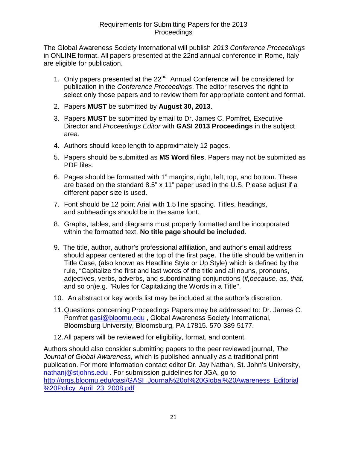The Global Awareness Society International will publish *2013 Conference Proceedings* in ONLINE format. All papers presented at the 22nd annual conference in Rome, Italy are eligible for publication.

- 1. Only papers presented at the 22<sup>nd</sup> Annual Conference will be considered for publication in the *Conference Proceedings*. The editor reserves the right to select only those papers and to review them for appropriate content and format.
- 2. Papers **MUST** be submitted by **August 30, 2013**.
- 3. Papers **MUST** be submitted by email to Dr. James C. Pomfret, Executive Director and *Proceedings Editor* with **GASI 2013 Proceedings** in the subject area.
- 4. Authors should keep length to approximately 12 pages.
- 5. Papers should be submitted as **MS Word files**. Papers may not be submitted as PDF files.
- 6. Pages should be formatted with 1" margins, right, left, top, and bottom. These are based on the standard 8.5" x 11" paper used in the U.S. Please adjust if a different paper size is used.
- 7. Font should be 12 point Arial with 1.5 line spacing. Titles, headings, and subheadings should be in the same font.
- 8. Graphs, tables, and diagrams must properly formatted and be incorporated within the formatted text. **No title page should be included**.
- 9. The title, author, author's professional affiliation, and author's email address should appear centered at the top of the first page. The title should be written in Title Case, (also known as Headline Style or Up Style) which is defined by the rule, "Capitalize the first and last words of the title and all [nouns,](http://grammar.about.com/od/mo/g/nounterm.htm) [pronouns,](http://grammar.about.com/od/pq/g/pronounterm.htm) [adjectives,](http://grammar.about.com/od/ab/g/adjecterm.htm) [verbs,](http://grammar.about.com/od/tz/g/verbterm.htm) [adverbs,](http://grammar.about.com/od/ab/g/adverbterm.htm) and [subordinating](http://grammar.about.com/od/rs/g/subordconj.htm) conjunctions (*if,because, as, that,* and so on)e.g. "Rules for Capitalizing the Words in a Title".
- 10. An abstract or key words list may be included at the author's discretion.
- 11.Questions concerning Proceedings Papers may be addressed to: Dr. James C. Pomfret [gasi@bloomu.edu](mailto:gasi@bloomu.edu), Global Awareness Society International, Bloomsburg University, Bloomsburg, PA 17815. 570-389-5177.
- 12.All papers will be reviewed for eligibility, format, and content.

Authors should also consider submitting papers to the peer reviewed journal, *The Journal of Global Awareness,* which is published annually as a traditional print publication. For more information contact editor Dr. Jay Nathan, St. John's University, [nathanj@stjohns.edu](mailto:nathanj@stjohns.edu) . For submission guidelines for JGA, go to [http://orgs.bloomu.edu/gasi/GASI\\_Journal%20of%20Global%20Awareness\\_Editorial](http://orgs.bloomu.edu/gasi/GASI_Journal%20of%20Global%20Awareness_Editorial%20Policy_April_23_2008.pdf) [%20Policy\\_April\\_23\\_2008.pdf](http://orgs.bloomu.edu/gasi/GASI_Journal%20of%20Global%20Awareness_Editorial%20Policy_April_23_2008.pdf)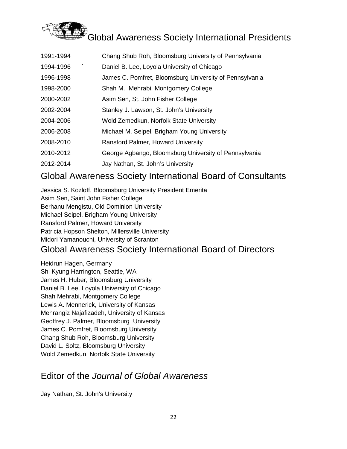

| Chang Shub Roh, Bloomsburg University of Pennsylvania   |
|---------------------------------------------------------|
| Daniel B. Lee, Loyola University of Chicago             |
| James C. Pomfret, Bloomsburg University of Pennsylvania |
| Shah M. Mehrabi, Montgomery College                     |
| Asim Sen, St. John Fisher College                       |
| Stanley J. Lawson, St. John's University                |
| Wold Zemedkun, Norfolk State University                 |
| Michael M. Seipel, Brigham Young University             |
| Ransford Palmer, Howard University                      |
| George Agbango, Bloomsburg University of Pennsylvania   |
| Jay Nathan, St. John's University                       |
|                                                         |

# Global Awareness Society International Board of Consultants

Jessica S. Kozloff, Bloomsburg University President Emerita Asim Sen, Saint John Fisher College Berhanu Mengistu, Old Dominion University Michael Seipel, Brigham Young University Ransford Palmer, Howard University Patricia Hopson Shelton, Millersville University Midori Yamanouchi, University of Scranton Global Awareness Society International Board of Directors

Heidrun Hagen, Germany Shi Kyung Harrington, Seattle, WA James H. Huber, Bloomsburg University Daniel B. Lee. Loyola University of Chicago Shah Mehrabi, Montgomery College Lewis A. Mennerick, University of Kansas Mehrangiz Najafizadeh, University of Kansas Geoffrey J. Palmer, Bloomsburg University James C. Pomfret, Bloomsburg University Chang Shub Roh, Bloomsburg University David L. Soltz, Bloomsburg University Wold Zemedkun, Norfolk State University

# Editor of the *Journal of Global Awareness*

Jay Nathan, St. John's University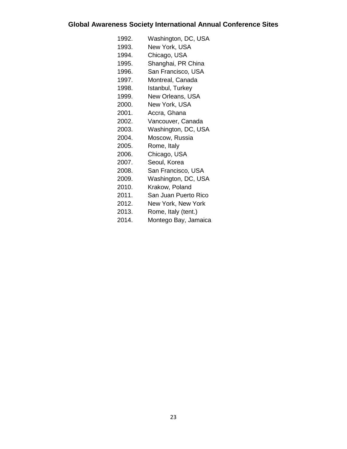# **Global Awareness Society International Annual Conference Sites**

| 1992. | Washington, DC, USA  |
|-------|----------------------|
| 1993. | New York, USA        |
| 1994. | Chicago, USA         |
| 1995. | Shanghai, PR China   |
| 1996. | San Francisco, USA   |
| 1997. | Montreal, Canada     |
| 1998. | Istanbul, Turkey     |
| 1999. | New Orleans, USA     |
| 2000. | New York, USA        |
| 2001. | Accra, Ghana         |
| 2002. | Vancouver, Canada    |
| 2003. | Washington, DC, USA  |
| 2004. | Moscow, Russia       |
| 2005. | Rome, Italy          |
| 2006. | Chicago, USA         |
| 2007. | Seoul, Korea         |
| 2008. | San Francisco, USA   |
| 2009. | Washington, DC, USA  |
| 2010. | Krakow, Poland       |
| 2011. | San Juan Puerto Rico |
| 2012. | New York, New York   |
| 2013. | Rome, Italy (tent.)  |
| 2014. | Montego Bay, Jamaica |